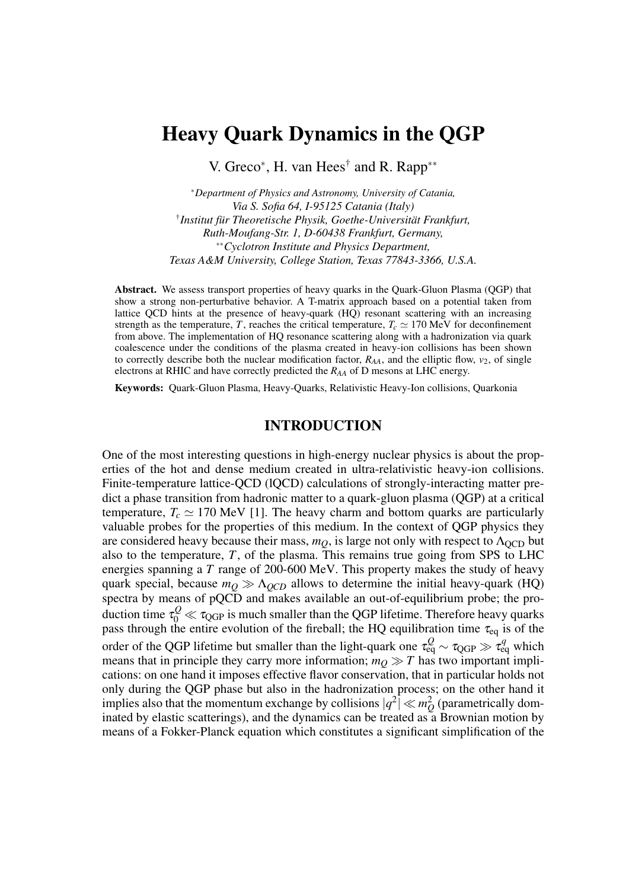# Heavy Quark Dynamics in the QGP

V. Greco<sup>\*</sup>, H. van Hees<sup>†</sup> and R. Rapp<sup>\*\*</sup>

<sup>∗</sup>*Department of Physics and Astronomy, University of Catania, Via S. Sofia 64, I-95125 Catania (Italy)* † *Institut für Theoretische Physik, Goethe-Universität Frankfurt, Ruth-Moufang-Str. 1, D-60438 Frankfurt, Germany,* ∗∗*Cyclotron Institute and Physics Department, Texas A&M University, College Station, Texas 77843-3366, U.S.A.*

Abstract. We assess transport properties of heavy quarks in the Quark-Gluon Plasma (QGP) that show a strong non-perturbative behavior. A T-matrix approach based on a potential taken from lattice QCD hints at the presence of heavy-quark (HQ) resonant scattering with an increasing strength as the temperature, *T*, reaches the critical temperature,  $T_c \simeq 170 \text{ MeV}$  for deconfinement from above. The implementation of HQ resonance scattering along with a hadronization via quark coalescence under the conditions of the plasma created in heavy-ion collisions has been shown to correctly describe both the nuclear modification factor,  $R_{AA}$ , and the elliptic flow,  $v_2$ , of single electrons at RHIC and have correctly predicted the *RAA* of D mesons at LHC energy.

Keywords: Quark-Gluon Plasma, Heavy-Quarks, Relativistic Heavy-Ion collisions, Quarkonia

## INTRODUCTION

One of the most interesting questions in high-energy nuclear physics is about the properties of the hot and dense medium created in ultra-relativistic heavy-ion collisions. Finite-temperature lattice-QCD (lQCD) calculations of strongly-interacting matter predict a phase transition from hadronic matter to a quark-gluon plasma (QGP) at a critical temperature,  $T_c \simeq 170 \text{ MeV}$  [1]. The heavy charm and bottom quarks are particularly valuable probes for the properties of this medium. In the context of QGP physics they are considered heavy because their mass,  $m<sub>O</sub>$ , is large not only with respect to  $\Lambda<sub>OCD</sub>$  but also to the temperature, *T*, of the plasma. This remains true going from SPS to LHC energies spanning a *T* range of 200-600 MeV. This property makes the study of heavy quark special, because  $m_Q \gg \Lambda_{QCD}$  allows to determine the initial heavy-quark (HQ) spectra by means of pQCD and makes available an out-of-equilibrium probe; the production time  $\tau_0^Q \ll \tau_{\rm QGP}$  is much smaller than the QGP lifetime. Therefore heavy quarks pass through the entire evolution of the fireball; the HQ equilibration time  $\tau_{eq}$  is of the order of the QGP lifetime but smaller than the light-quark one  $\tau_{\text{eq}}^Q \sim \tau_{\text{QGP}} \gg \tau_{\text{eq}}^q$  which means that in principle they carry more information;  $m_Q \gg T$  has two important implications: on one hand it imposes effective flavor conservation, that in particular holds not only during the QGP phase but also in the hadronization process; on the other hand it implies also that the momentum exchange by collisions  $|q^2| \ll m_Q^2$  (parametrically dominated by elastic scatterings), and the dynamics can be treated as  $a$  Brownian motion by means of a Fokker-Planck equation which constitutes a significant simplification of the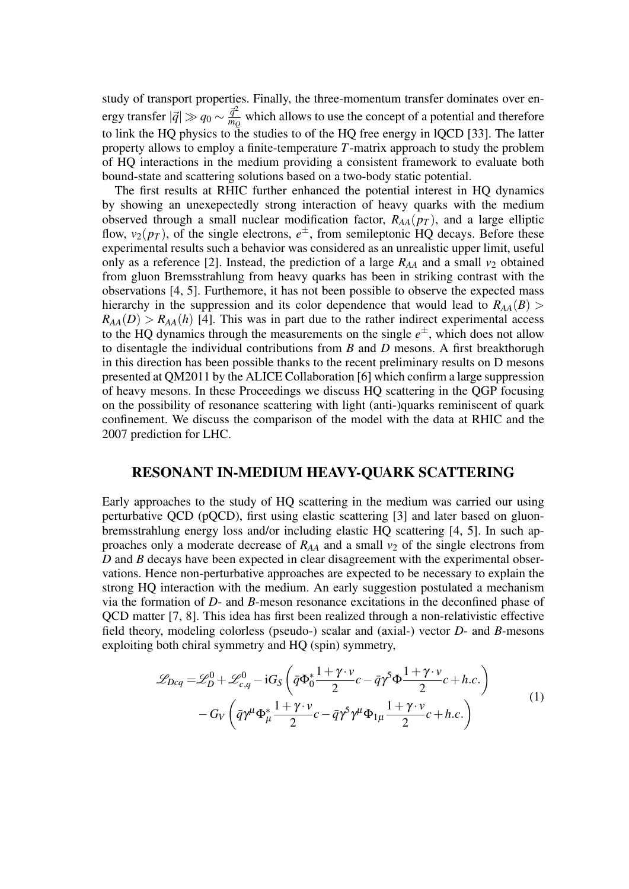study of transport properties. Finally, the three-momentum transfer dominates over energy transfer  $|\vec{q}| \gg q_0 \sim \frac{\vec{q}^2}{mc}$  $\frac{q}{m_Q}$  which allows to use the concept of a potential and therefore to link the HQ physics to the studies to of the HQ free energy in lQCD [33]. The latter property allows to employ a finite-temperature *T*-matrix approach to study the problem of HQ interactions in the medium providing a consistent framework to evaluate both bound-state and scattering solutions based on a two-body static potential.

The first results at RHIC further enhanced the potential interest in HQ dynamics by showing an unexepectedly strong interaction of heavy quarks with the medium observed through a small nuclear modification factor, *RAA*(*p<sup>T</sup>* ), and a large elliptic flow,  $v_2(p_T)$ , of the single electrons,  $e^{\pm}$ , from semileptonic HQ decays. Before these experimental results such a behavior was considered as an unrealistic upper limit, useful only as a reference [2]. Instead, the prediction of a large  $R_{AA}$  and a small  $v_2$  obtained from gluon Bremsstrahlung from heavy quarks has been in striking contrast with the observations [4, 5]. Furthemore, it has not been possible to observe the expected mass hierarchy in the suppression and its color dependence that would lead to  $R_{AA}(B)$  $R_{AA}(D) > R_{AA}(h)$  [4]. This was in part due to the rather indirect experimental access to the HQ dynamics through the measurements on the single  $e^{\pm}$ , which does not allow to disentagle the individual contributions from *B* and *D* mesons. A first breakthorugh in this direction has been possible thanks to the recent preliminary results on D mesons presented at QM2011 by the ALICE Collaboration [6] which confirm a large suppression of heavy mesons. In these Proceedings we discuss HQ scattering in the QGP focusing on the possibility of resonance scattering with light (anti-)quarks reminiscent of quark confinement. We discuss the comparison of the model with the data at RHIC and the 2007 prediction for LHC.

## RESONANT IN-MEDIUM HEAVY-QUARK SCATTERING

Early approaches to the study of HQ scattering in the medium was carried our using perturbative QCD (pQCD), first using elastic scattering [3] and later based on gluonbremsstrahlung energy loss and/or including elastic HQ scattering [4, 5]. In such approaches only a moderate decrease of  $R_{AA}$  and a small  $v_2$  of the single electrons from *D* and *B* decays have been expected in clear disagreement with the experimental observations. Hence non-perturbative approaches are expected to be necessary to explain the strong HQ interaction with the medium. An early suggestion postulated a mechanism via the formation of *D*- and *B*-meson resonance excitations in the deconfined phase of QCD matter [7, 8]. This idea has first been realized through a non-relativistic effective field theory, modeling colorless (pseudo-) scalar and (axial-) vector *D*- and *B*-mesons exploiting both chiral symmetry and HQ (spin) symmetry,

$$
\mathcal{L}_{Dcq} = \mathcal{L}_D^0 + \mathcal{L}_{c,q}^0 - iG_S \left( \bar{q} \Phi_0^* \frac{1 + \gamma \cdot v}{2} c - \bar{q} \gamma^5 \Phi \frac{1 + \gamma \cdot v}{2} c + h.c. \right) - G_V \left( \bar{q} \gamma^\mu \Phi_\mu^* \frac{1 + \gamma \cdot v}{2} c - \bar{q} \gamma^5 \gamma^\mu \Phi_{1\mu} \frac{1 + \gamma \cdot v}{2} c + h.c. \right)
$$
(1)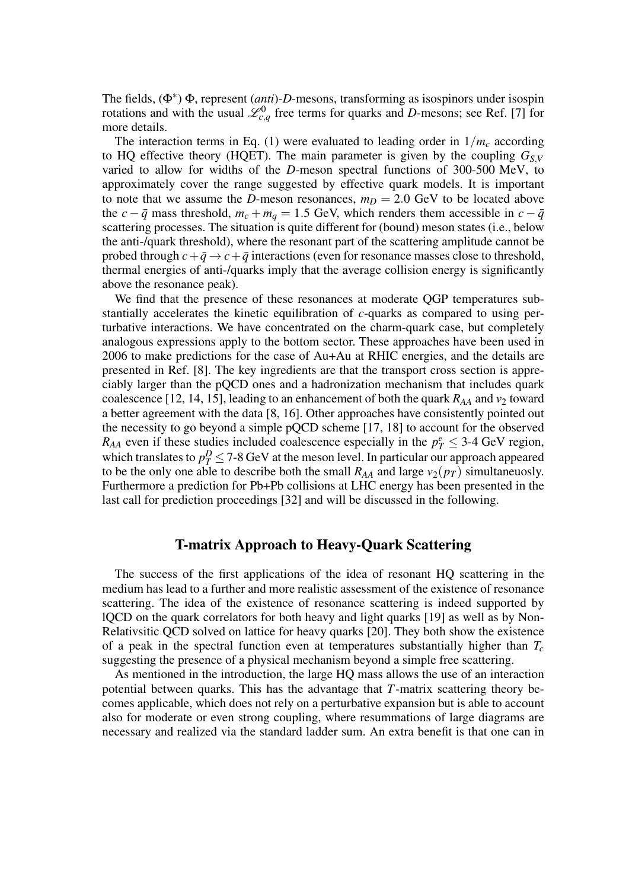The fields, (Φ<sup>∗</sup> ) Φ, represent (*anti*)-*D*-mesons, transforming as isospinors under isospin rotations and with the usual  $\mathcal{L}_{c,q}^0$  free terms for quarks and *D*-mesons; see Ref. [7] for more details.

The interaction terms in Eq. (1) were evaluated to leading order in  $1/m_c$  according to HQ effective theory (HQET). The main parameter is given by the coupling  $G_{SV}$ varied to allow for widths of the *D*-meson spectral functions of 300-500 MeV, to approximately cover the range suggested by effective quark models. It is important to note that we assume the *D*-meson resonances,  $m_D = 2.0$  GeV to be located above the *c* −  $\bar{q}$  mass threshold,  $m_c + m_q = 1.5$  GeV, which renders them accessible in  $c - \bar{q}$ scattering processes. The situation is quite different for (bound) meson states (i.e., below the anti-/quark threshold), where the resonant part of the scattering amplitude cannot be probed through  $c + \bar{q} \rightarrow c + \bar{q}$  interactions (even for resonance masses close to threshold, thermal energies of anti-/quarks imply that the average collision energy is significantly above the resonance peak).

We find that the presence of these resonances at moderate QGP temperatures substantially accelerates the kinetic equilibration of *c*-quarks as compared to using perturbative interactions. We have concentrated on the charm-quark case, but completely analogous expressions apply to the bottom sector. These approaches have been used in 2006 to make predictions for the case of Au+Au at RHIC energies, and the details are presented in Ref. [8]. The key ingredients are that the transport cross section is appreciably larger than the pQCD ones and a hadronization mechanism that includes quark coalescence [12, 14, 15], leading to an enhancement of both the quark  $R_{AA}$  and  $v_2$  toward a better agreement with the data [8, 16]. Other approaches have consistently pointed out the necessity to go beyond a simple pQCD scheme [17, 18] to account for the observed *R*<sub>*AA*</sub> even if these studies included coalescence especially in the  $p_T^e \leq 3{\text -}4$  GeV region, which translates to  $p_T^D \leq 7$ -8 GeV at the meson level. In particular our approach appeared to be the only one able to describe both the small  $R_{AA}$  and large  $v_2(p_T)$  simultaneuosly. Furthermore a prediction for Pb+Pb collisions at LHC energy has been presented in the last call for prediction proceedings [32] and will be discussed in the following.

#### T-matrix Approach to Heavy-Quark Scattering

The success of the first applications of the idea of resonant HQ scattering in the medium has lead to a further and more realistic assessment of the existence of resonance scattering. The idea of the existence of resonance scattering is indeed supported by lQCD on the quark correlators for both heavy and light quarks [19] as well as by Non-Relativsitic QCD solved on lattice for heavy quarks [20]. They both show the existence of a peak in the spectral function even at temperatures substantially higher than *T<sup>c</sup>* suggesting the presence of a physical mechanism beyond a simple free scattering.

As mentioned in the introduction, the large HQ mass allows the use of an interaction potential between quarks. This has the advantage that *T*-matrix scattering theory becomes applicable, which does not rely on a perturbative expansion but is able to account also for moderate or even strong coupling, where resummations of large diagrams are necessary and realized via the standard ladder sum. An extra benefit is that one can in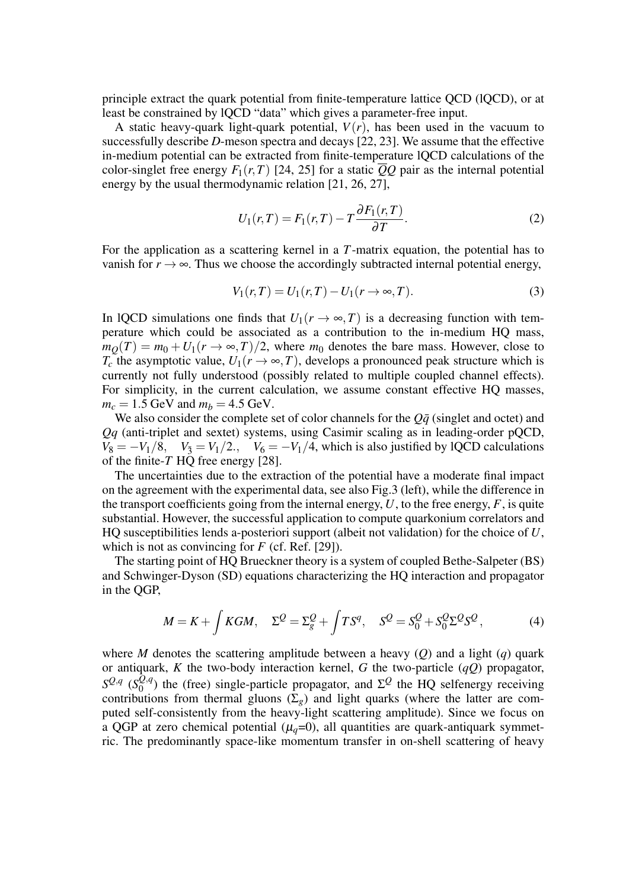principle extract the quark potential from finite-temperature lattice QCD (lQCD), or at least be constrained by lQCD "data" which gives a parameter-free input.

A static heavy-quark light-quark potential,  $V(r)$ , has been used in the vacuum to successfully describe *D*-meson spectra and decays [22, 23]. We assume that the effective in-medium potential can be extracted from finite-temperature lQCD calculations of the color-singlet free energy  $F_1(r,T)$  [24, 25] for a static  $\overline{Q}Q$  pair as the internal potential energy by the usual thermodynamic relation [21, 26, 27],

$$
U_1(r,T) = F_1(r,T) - T \frac{\partial F_1(r,T)}{\partial T}.
$$
\n(2)

For the application as a scattering kernel in a *T*-matrix equation, the potential has to vanish for  $r \to \infty$ . Thus we choose the accordingly subtracted internal potential energy,

$$
V_1(r,T) = U_1(r,T) - U_1(r \to \infty, T).
$$
 (3)

In lQCD simulations one finds that  $U_1(r \to \infty, T)$  is a decreasing function with temperature which could be associated as a contribution to the in-medium HQ mass,  $m<sub>O</sub>(T) = m<sub>0</sub> + U<sub>1</sub>(r \rightarrow \infty, T)/2$ , where  $m<sub>0</sub>$  denotes the bare mass. However, close to *T<sub>c</sub>* the asymptotic value,  $U_1(r \to \infty, T)$ , develops a pronounced peak structure which is currently not fully understood (possibly related to multiple coupled channel effects). For simplicity, in the current calculation, we assume constant effective HQ masses,  $m_c = 1.5$  GeV and  $m_b = 4.5$  GeV.

We also consider the complete set of color channels for the  $Q\bar{q}$  (singlet and octet) and *Qq* (anti-triplet and sextet) systems, using Casimir scaling as in leading-order pQCD,  $V_8 = -V_1/8$ ,  $V_3 = V_1/2$ .,  $V_6 = -V_1/4$ , which is also justified by lQCD calculations of the finite-*T* HQ free energy [28].

The uncertainties due to the extraction of the potential have a moderate final impact on the agreement with the experimental data, see also Fig.3 (left), while the difference in the transport coefficients going from the internal energy, *U*, to the free energy, *F*, is quite substantial. However, the successful application to compute quarkonium correlators and HQ susceptibilities lends a-posteriori support (albeit not validation) for the choice of *U*, which is not as convincing for *F* (cf. Ref. [29]).

The starting point of HQ Brueckner theory is a system of coupled Bethe-Salpeter (BS) and Schwinger-Dyson (SD) equations characterizing the HQ interaction and propagator in the QGP,

$$
M = K + \int KGM, \quad \Sigma^{\mathcal{Q}} = \Sigma_g^{\mathcal{Q}} + \int TS^q, \quad S^{\mathcal{Q}} = S_0^{\mathcal{Q}} + S_0^{\mathcal{Q}} \Sigma^{\mathcal{Q}} S^{\mathcal{Q}}, \tag{4}
$$

where *M* denotes the scattering amplitude between a heavy (*Q*) and a light (*q*) quark or antiquark, *K* the two-body interaction kernel, *G* the two-particle (*qQ*) propagator,  $S^{Q,q}$  (*S*<sup>Q,*q*</sup></sub>)  $\mathcal{Q}_{0}^{(Q,q)}$  the (free) single-particle propagator, and  $\Sigma^{\mathcal{Q}}$  the HQ selfenergy receiving contributions from thermal gluons  $(\Sigma_g)$  and light quarks (where the latter are computed self-consistently from the heavy-light scattering amplitude). Since we focus on a QGP at zero chemical potential  $(\mu_q=0)$ , all quantities are quark-antiquark symmetric. The predominantly space-like momentum transfer in on-shell scattering of heavy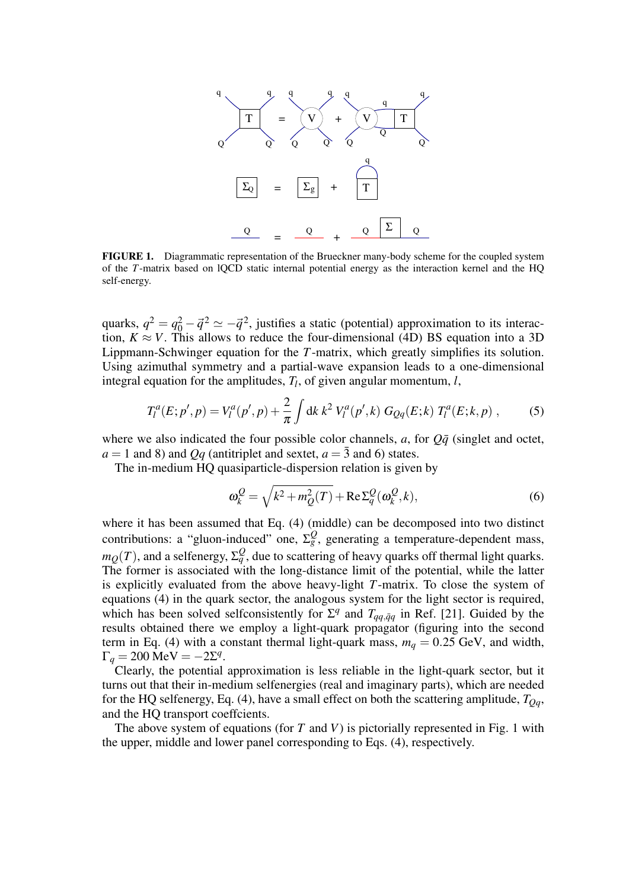

FIGURE 1. Diagrammatic representation of the Brueckner many-body scheme for the coupled system of the *T*-matrix based on lQCD static internal potential energy as the interaction kernel and the HQ self-energy.

quarks,  $q^2 = q_0^2 - \vec{q}^2 \simeq -\vec{q}^2$ , justifies a static (potential) approximation to its interaction,  $K \approx V$ . This allows to reduce the four-dimensional (4D) BS equation into a 3D Lippmann-Schwinger equation for the *T*-matrix, which greatly simplifies its solution. Using azimuthal symmetry and a partial-wave expansion leads to a one-dimensional integral equation for the amplitudes,  $T_l$ , of given angular momentum,  $l$ ,

$$
T_l^a(E; p', p) = V_l^a(p', p) + \frac{2}{\pi} \int \mathrm{d}k \, k^2 \, V_l^a(p', k) \, G_{Qq}(E; k) \, T_l^a(E; k, p) \,, \tag{5}
$$

where we also indicated the four possible color channels,  $a$ , for  $Q\bar{q}$  (singlet and octet,  $a = 1$  and 8) and *Qq* (antitriplet and sextet,  $a = \overline{3}$  and 6) states.

The in-medium HQ quasiparticle-dispersion relation is given by

$$
\omega_k^Q = \sqrt{k^2 + m_Q^2(T)} + \text{Re}\,\Sigma_q^Q(\omega_k^Q, k),\tag{6}
$$

where it has been assumed that Eq. (4) (middle) can be decomposed into two distinct contributions: a "gluon-induced" one,  $\Sigma_g^Q$ , generating a temperature-dependent mass,  $m_Q(T)$ , and a selfenergy,  $\Sigma_q^Q$ , due to scattering of heavy quarks off thermal light quarks. The former is associated with the long-distance limit of the potential, while the latter is explicitly evaluated from the above heavy-light *T*-matrix. To close the system of equations (4) in the quark sector, the analogous system for the light sector is required, which has been solved selfconsistently for  $\Sigma^q$  and  $T_{qq,\bar{q}q}$  in Ref. [21]. Guided by the results obtained there we employ a light-quark propagator (figuring into the second term in Eq. (4) with a constant thermal light-quark mass,  $m_q = 0.25$  GeV, and width,  $\Gamma_q = 200 \text{ MeV} = -2\Sigma^q.$ 

Clearly, the potential approximation is less reliable in the light-quark sector, but it turns out that their in-medium selfenergies (real and imaginary parts), which are needed for the HQ selfenergy, Eq. (4), have a small effect on both the scattering amplitude,  $T_{Oq}$ , and the HQ transport coeffcients.

The above system of equations (for *T* and *V*) is pictorially represented in Fig. 1 with the upper, middle and lower panel corresponding to Eqs. (4), respectively.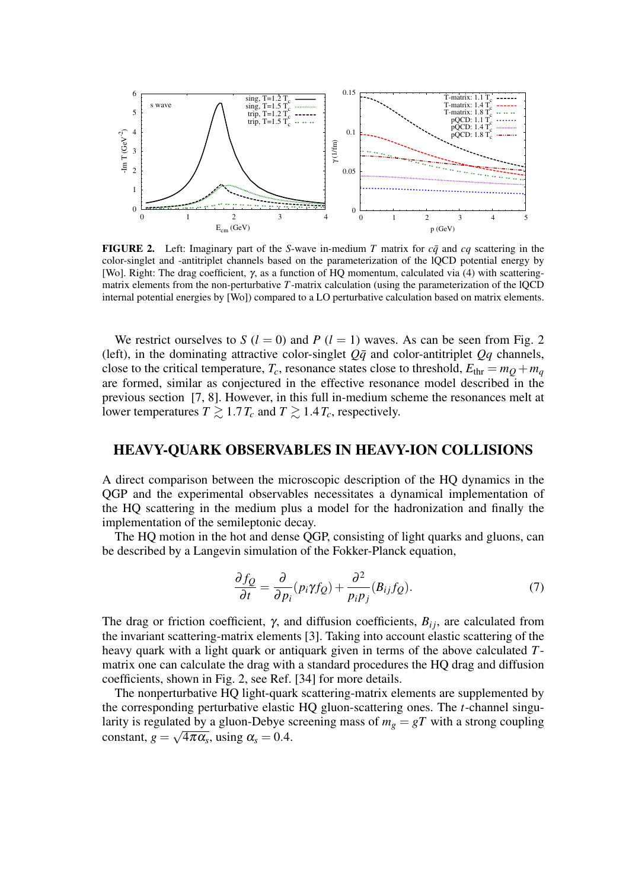

**FIGURE 2.** Left: Imaginary part of the *S*-wave in-medium *T* matrix for  $c\bar{q}$  and  $c\bar{q}$  scattering in the color-singlet and -antitriplet channels based on the parameterization of the lQCD potential energy by [Wo]. Right: The drag coefficient, γ, as a function of HQ momentum, calculated via (4) with scatteringmatrix elements from the non-perturbative *T*-matrix calculation (using the parameterization of the lQCD internal potential energies by [Wo]) compared to a LO perturbative calculation based on matrix elements.

We restrict ourselves to *S* ( $l = 0$ ) and *P* ( $l = 1$ ) waves. As can be seen from Fig. 2 (left), in the dominating attractive color-singlet  $Q\bar{q}$  and color-antitriplet  $Qq$  channels, close to the critical temperature,  $T_c$ , resonance states close to threshold,  $E_{thr} = m_Q + m_q$ are formed, similar as conjectured in the effective resonance model described in the previous section [7, 8]. However, in this full in-medium scheme the resonances melt at lower temperatures  $T \geq 1.7 T_c$  and  $T \geq 1.4 T_c$ , respectively.

### HEAVY-QUARK OBSERVABLES IN HEAVY-ION COLLISIONS

A direct comparison between the microscopic description of the HQ dynamics in the QGP and the experimental observables necessitates a dynamical implementation of the HQ scattering in the medium plus a model for the hadronization and finally the implementation of the semileptonic decay.

The HQ motion in the hot and dense QGP, consisting of light quarks and gluons, can be described by a Langevin simulation of the Fokker-Planck equation,

$$
\frac{\partial f_Q}{\partial t} = \frac{\partial}{\partial p_i} (p_i \gamma f_Q) + \frac{\partial^2}{p_i p_j} (B_{ij} f_Q). \tag{7}
$$

The drag or friction coefficient,  $\gamma$ , and diffusion coefficients,  $B_{ij}$ , are calculated from the invariant scattering-matrix elements [3]. Taking into account elastic scattering of the heavy quark with a light quark or antiquark given in terms of the above calculated *T*matrix one can calculate the drag with a standard procedures the HQ drag and diffusion coefficients, shown in Fig. 2, see Ref. [34] for more details.

The nonperturbative HQ light-quark scattering-matrix elements are supplemented by the corresponding perturbative elastic HQ gluon-scattering ones. The *t*-channel singularity is regulated by a gluon-Debye screening mass of  $m_g = gT$  with a strong coupling constant,  $g = \sqrt{4\pi\alpha_s}$ , using  $\alpha_s = 0.4$ .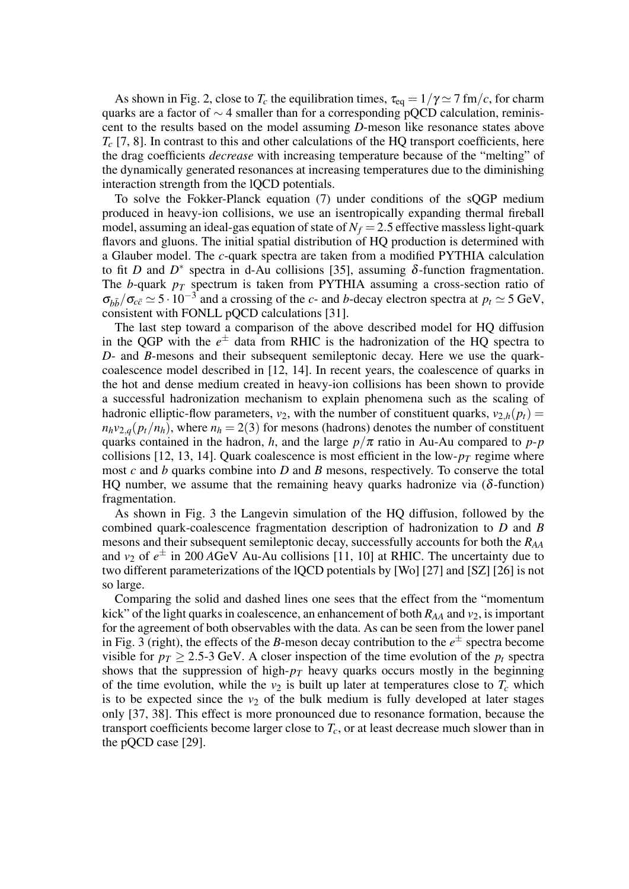As shown in Fig. 2, close to  $T_c$  the equilibration times,  $\tau_{eq} = 1/\gamma \simeq 7$  fm/*c*, for charm quarks are a factor of ∼ 4 smaller than for a corresponding pQCD calculation, reminiscent to the results based on the model assuming *D*-meson like resonance states above  $T_c$  [7, 8]. In contrast to this and other calculations of the HQ transport coefficients, here the drag coefficients *decrease* with increasing temperature because of the "melting" of the dynamically generated resonances at increasing temperatures due to the diminishing interaction strength from the lQCD potentials.

To solve the Fokker-Planck equation (7) under conditions of the sQGP medium produced in heavy-ion collisions, we use an isentropically expanding thermal fireball model, assuming an ideal-gas equation of state of  $N_f = 2.5$  effective massless light-quark flavors and gluons. The initial spatial distribution of HQ production is determined with a Glauber model. The *c*-quark spectra are taken from a modified PYTHIA calculation to fit *D* and  $D^*$  spectra in d-Au collisions [35], assuming  $\delta$ -function fragmentation. The *b*-quark *p<sup>T</sup>* spectrum is taken from PYTHIA assuming a cross-section ratio of  $\sigma_{b\bar{b}}/\sigma_{c\bar{c}} \simeq 5 \cdot 10^{-3}$  and a crossing of the *c*- and *b*-decay electron spectra at  $p_t \simeq 5$  GeV, consistent with FONLL pQCD calculations [31].

The last step toward a comparison of the above described model for HQ diffusion in the QGP with the  $e^{\pm}$  data from RHIC is the hadronization of the HQ spectra to *D*- and *B*-mesons and their subsequent semileptonic decay. Here we use the quarkcoalescence model described in [12, 14]. In recent years, the coalescence of quarks in the hot and dense medium created in heavy-ion collisions has been shown to provide a successful hadronization mechanism to explain phenomena such as the scaling of hadronic elliptic-flow parameters,  $v_2$ , with the number of constituent quarks,  $v_{2,h}(p_t)$  =  $n_h v_{2,q}(p_t/n_h)$ , where  $n_h = 2(3)$  for mesons (hadrons) denotes the number of constituent quarks contained in the hadron, *h*, and the large  $p/\pi$  ratio in Au-Au compared to  $p$ - $p$ collisions [12, 13, 14]. Quark coalescence is most efficient in the low- $p<sub>T</sub>$  regime where most *c* and *b* quarks combine into *D* and *B* mesons, respectively. To conserve the total HQ number, we assume that the remaining heavy quarks hadronize via  $(\delta$ -function) fragmentation.

As shown in Fig. 3 the Langevin simulation of the HQ diffusion, followed by the combined quark-coalescence fragmentation description of hadronization to *D* and *B* mesons and their subsequent semileptonic decay, successfully accounts for both the *RAA* and  $v_2$  of  $e^{\pm}$  in 200 AGeV Au-Au collisions [11, 10] at RHIC. The uncertainty due to two different parameterizations of the lQCD potentials by [Wo] [27] and [SZ] [26] is not so large.

Comparing the solid and dashed lines one sees that the effect from the "momentum kick" of the light quarks in coalescence, an enhancement of both *RAA* and *v*2, is important for the agreement of both observables with the data. As can be seen from the lower panel in Fig. 3 (right), the effects of the *B*-meson decay contribution to the  $e^{\pm}$  spectra become visible for  $p_T \ge 2.5$ -3 GeV. A closer inspection of the time evolution of the  $p_t$  spectra shows that the suppression of high- $p<sub>T</sub>$  heavy quarks occurs mostly in the beginning of the time evolution, while the  $v_2$  is built up later at temperatures close to  $T_c$  which is to be expected since the  $v_2$  of the bulk medium is fully developed at later stages only [37, 38]. This effect is more pronounced due to resonance formation, because the transport coefficients become larger close to *Tc*, or at least decrease much slower than in the pQCD case [29].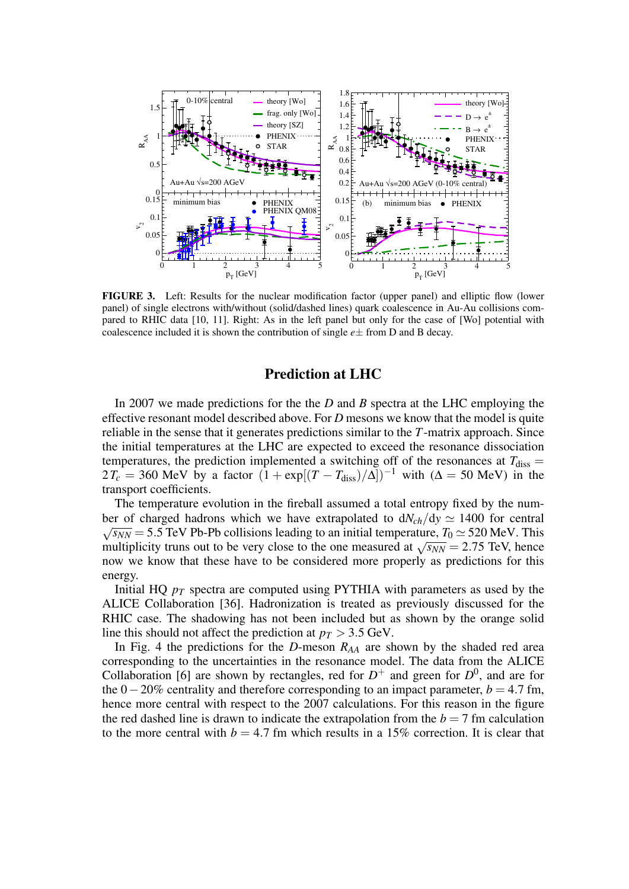

FIGURE 3. Left: Results for the nuclear modification factor (upper panel) and elliptic flow (lower panel) of single electrons with/without (solid/dashed lines) quark coalescence in Au-Au collisions compared to RHIC data [10, 11]. Right: As in the left panel but only for the case of [Wo] potential with coalescence included it is shown the contribution of single *e*± from D and B decay.

## Prediction at LHC

In 2007 we made predictions for the the *D* and *B* spectra at the LHC employing the effective resonant model described above. For *D* mesons we know that the model is quite reliable in the sense that it generates predictions similar to the *T*-matrix approach. Since the initial temperatures at the LHC are expected to exceed the resonance dissociation temperatures, the prediction implemented a switching off of the resonances at  $T_{\text{diss}} =$  $2T_c = 360$  MeV by a factor  $(1 + \exp[(T - T_{\text{diss}})/\Delta])^{-1}$  with ( $\Delta = 50$  MeV) in the transport coefficients.

The temperature evolution in the fireball assumed a total entropy fixed by the number of charged hadrons which we have extrapolated to  $dN_c h/dy \approx 1400$  for central  $\sqrt{s_{NN}}$  = 5.5 TeV Pb-Pb collisions leading to an initial temperature,  $T_0 \simeq 520$  MeV. This  $\sqrt{s_{NN}}$  = 3.5 TeV Fb-Fb comsions leading to an initial temperature,  $T_0 \approx 320$  MeV. This multiplicity truns out to be very close to the one measured at  $\sqrt{s_{NN}}$  = 2.75 TeV, hence now we know that these have to be considered more properly as predictions for this energy.

Initial HQ *p<sup>T</sup>* spectra are computed using PYTHIA with parameters as used by the ALICE Collaboration [36]. Hadronization is treated as previously discussed for the RHIC case. The shadowing has not been included but as shown by the orange solid line this should not affect the prediction at  $p_T > 3.5$  GeV.

In Fig. 4 the predictions for the *D*-meson  $R_{AA}$  are shown by the shaded red area corresponding to the uncertainties in the resonance model. The data from the ALICE Collaboration [6] are shown by rectangles, red for  $D^+$  and green for  $D^0$ , and are for the  $0-20\%$  centrality and therefore corresponding to an impact parameter,  $b = 4.7$  fm, hence more central with respect to the 2007 calculations. For this reason in the figure the red dashed line is drawn to indicate the extrapolation from the  $b = 7$  fm calculation to the more central with  $b = 4.7$  fm which results in a 15% correction. It is clear that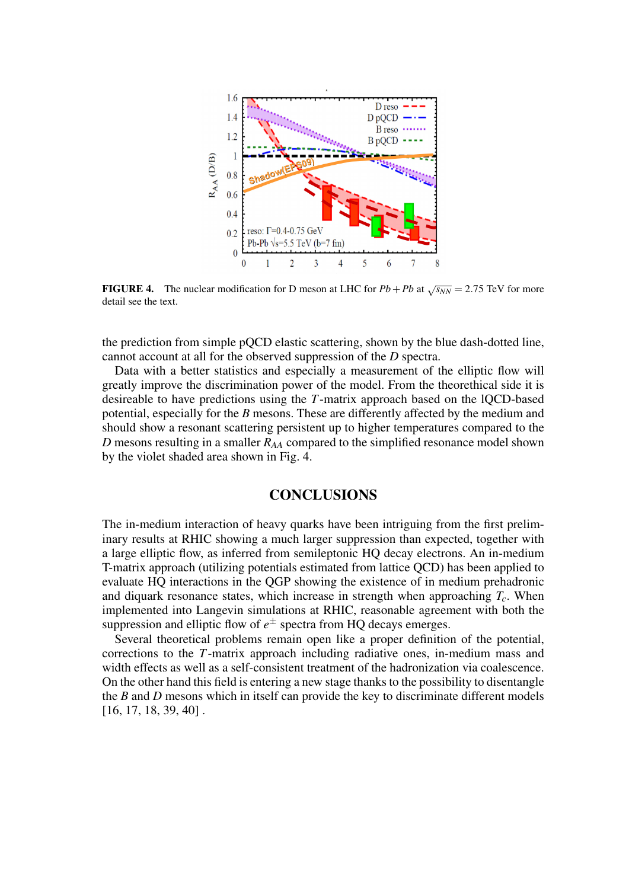

**FIGURE 4.** The nuclear modification for D meson at LHC for  $Pb + Pb$  at  $\sqrt{s_{NN}} = 2.75$  TeV for more detail see the text.

the prediction from simple pQCD elastic scattering, shown by the blue dash-dotted line, cannot account at all for the observed suppression of the *D* spectra.

Data with a better statistics and especially a measurement of the elliptic flow will greatly improve the discrimination power of the model. From the theorethical side it is desireable to have predictions using the *T*-matrix approach based on the lQCD-based potential, especially for the *B* mesons. These are differently affected by the medium and should show a resonant scattering persistent up to higher temperatures compared to the *D* mesons resulting in a smaller *RAA* compared to the simplified resonance model shown by the violet shaded area shown in Fig. 4.

## **CONCLUSIONS**

The in-medium interaction of heavy quarks have been intriguing from the first preliminary results at RHIC showing a much larger suppression than expected, together with a large elliptic flow, as inferred from semileptonic HQ decay electrons. An in-medium T-matrix approach (utilizing potentials estimated from lattice QCD) has been applied to evaluate HQ interactions in the QGP showing the existence of in medium prehadronic and diquark resonance states, which increase in strength when approaching *Tc*. When implemented into Langevin simulations at RHIC, reasonable agreement with both the suppression and elliptic flow of  $e^{\pm}$  spectra from HQ decays emerges.

Several theoretical problems remain open like a proper definition of the potential, corrections to the *T*-matrix approach including radiative ones, in-medium mass and width effects as well as a self-consistent treatment of the hadronization via coalescence. On the other hand this field is entering a new stage thanks to the possibility to disentangle the *B* and *D* mesons which in itself can provide the key to discriminate different models [16, 17, 18, 39, 40] .